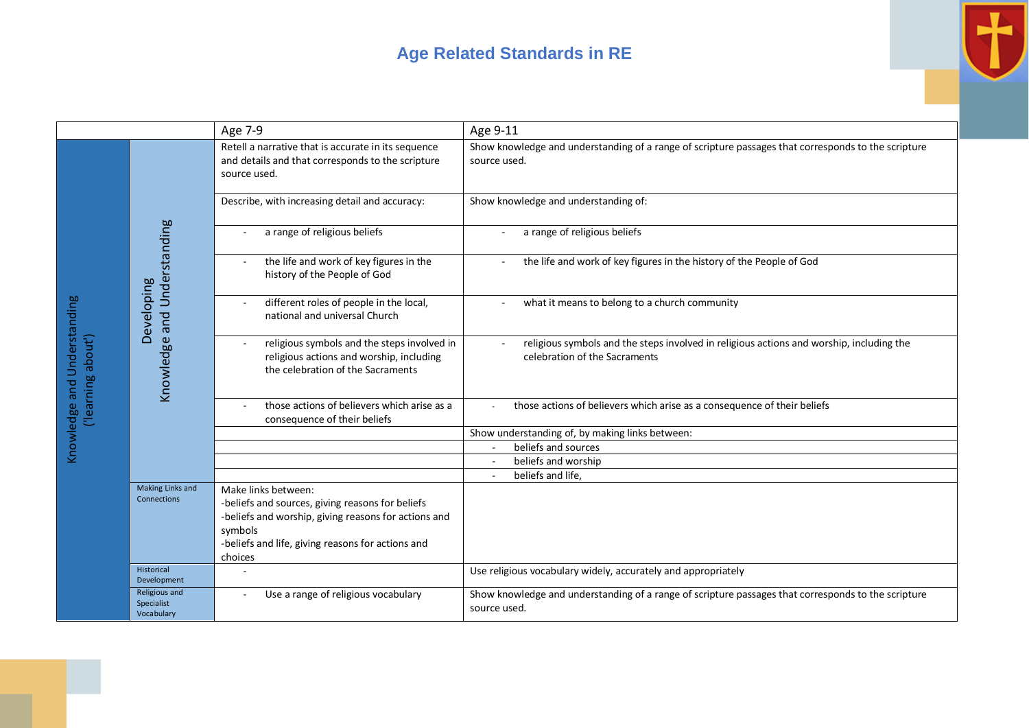## **Age Related Standards in RE**



|                                                   |                                           | Age 7-9                                                                                                                                                                                                    | Age 9-11                                                                                                                  |
|---------------------------------------------------|-------------------------------------------|------------------------------------------------------------------------------------------------------------------------------------------------------------------------------------------------------------|---------------------------------------------------------------------------------------------------------------------------|
| Knowledge and Understanding<br>('learning about') | Knowledge and Understanding<br>Developing | Retell a narrative that is accurate in its sequence<br>and details and that corresponds to the scripture<br>source used.                                                                                   | Show knowledge and understanding of a range of scripture passages that corresponds to the scripture<br>source used.       |
|                                                   |                                           | Describe, with increasing detail and accuracy:                                                                                                                                                             | Show knowledge and understanding of:                                                                                      |
|                                                   |                                           | a range of religious beliefs                                                                                                                                                                               | a range of religious beliefs                                                                                              |
|                                                   |                                           | the life and work of key figures in the<br>history of the People of God                                                                                                                                    | the life and work of key figures in the history of the People of God                                                      |
|                                                   |                                           | different roles of people in the local,<br>national and universal Church                                                                                                                                   | what it means to belong to a church community                                                                             |
|                                                   |                                           | religious symbols and the steps involved in<br>religious actions and worship, including<br>the celebration of the Sacraments                                                                               | religious symbols and the steps involved in religious actions and worship, including the<br>celebration of the Sacraments |
|                                                   |                                           | those actions of believers which arise as a<br>consequence of their beliefs                                                                                                                                | those actions of believers which arise as a consequence of their beliefs                                                  |
|                                                   |                                           |                                                                                                                                                                                                            | Show understanding of, by making links between:                                                                           |
|                                                   |                                           |                                                                                                                                                                                                            | beliefs and sources                                                                                                       |
|                                                   |                                           |                                                                                                                                                                                                            | beliefs and worship                                                                                                       |
|                                                   |                                           |                                                                                                                                                                                                            | beliefs and life,                                                                                                         |
|                                                   | Making Links and<br>Connections           | Make links between:<br>-beliefs and sources, giving reasons for beliefs<br>-beliefs and worship, giving reasons for actions and<br>symbols<br>-beliefs and life, giving reasons for actions and<br>choices |                                                                                                                           |
|                                                   | Historical<br>Development                 |                                                                                                                                                                                                            | Use religious vocabulary widely, accurately and appropriately                                                             |
|                                                   | Religious and<br>Specialist<br>Vocabulary | Use a range of religious vocabulary                                                                                                                                                                        | Show knowledge and understanding of a range of scripture passages that corresponds to the scripture<br>source used.       |